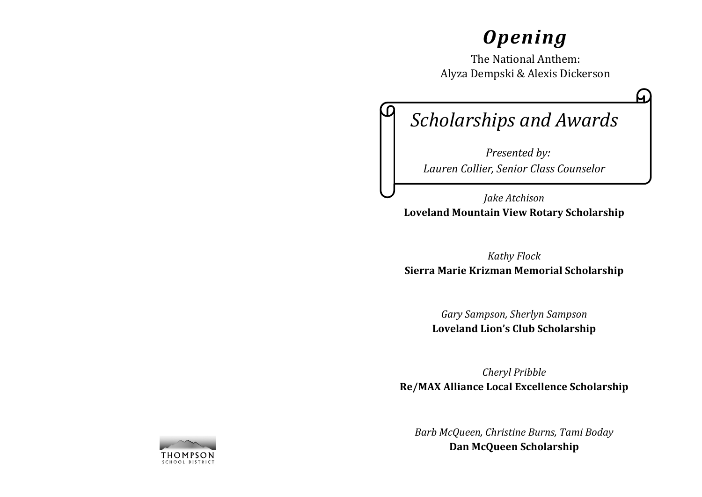# *Opening*

The National Anthem: Alyza Dempski & Alexis Dickerson

# *Scholarships and Awards*

 *Presented by: Lauren Collier, Senior Class Counselor*

*Jake Atchison* **Loveland Mountain View Rotary Scholarship**

*Kathy Flock* **Sierra Marie Krizman Memorial Scholarship**

> *Gary Sampson, Sherlyn Sampson* **Loveland Lion's Club Scholarship**

*Cheryl Pribble* **Re/MAX Alliance Local Excellence Scholarship**

*Barb McQueen, Christine Burns, Tami Boday* **Dan McQueen Scholarship**

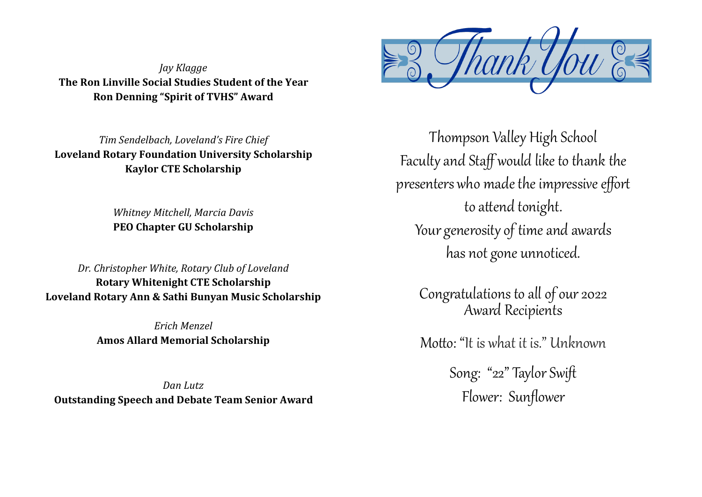*Jay Klagge* **The Ron Linville Social Studies Student of the Year Ron Denning "Spirit of TVHS" Award**

*Tim Sendelbach, Loveland's Fire Chief* **Loveland Rotary Foundation University Scholarship Kaylor CTE Scholarship**

> *Whitney Mitchell, Marcia Davis* **PEO Chapter GU Scholarship**

*Dr. Christopher White, Rotary Club of Loveland* **Rotary Whitenight CTE Scholarship Loveland Rotary Ann & Sathi Bunyan Music Scholarship** 

> *Erich Menzel* **Amos Allard Memorial Scholarship**

*Dan Lutz* **Outstanding Speech and Debate Team Senior Award**



Thompson Valley High School Faculty and Staff would like to thank the presenters who made the impressive effort to attend tonight. Your generosity of time and awards has not gone unnoticed.

> Congratulations to all of our 2022 Award Recipients

> Motto: "It is what it is." Unknown

Song: "22" Taylor Swift Flower: Sunflower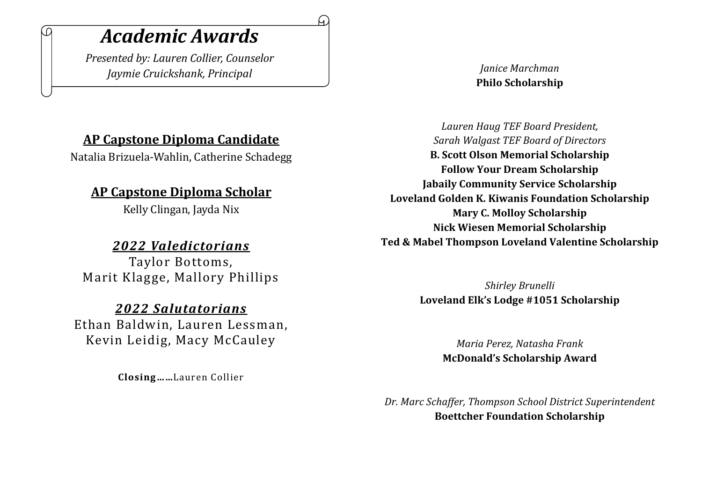# *Academic Awards*

.N

*Presented by: Lauren Collier, Counselor Jaymie Cruickshank, Principal*

# **AP Capstone Diploma Candidate**

Natalia Brizuela-Wahlin, Catherine Schadegg

# **AP Capstone Diploma Scholar**

Kelly Clingan, Jayda Nix

## *2022 Valedictorians*

Taylor Bottoms, Marit Klagge, Mallory Phillips

### *2022 Salutatorians*

Ethan Baldwin, Lauren Lessman, Kevin Leidig, Macy McCauley

**Closing……**Lauren Collier

### *Janice Marchman* **Philo Scholarship**

*Lauren Haug TEF Board President, Sarah Walgast TEF Board of Directors* **B. Scott Olson Memorial Scholarship Follow Your Dream Scholarship Jabaily Community Service Scholarship Loveland Golden K. Kiwanis Foundation Scholarship Mary C. Molloy Scholarship Nick Wiesen Memorial Scholarship Ted & Mabel Thompson Loveland Valentine Scholarship**

> *Shirley Brunelli* **Loveland Elk's Lodge #1051 Scholarship**

> > *Maria Perez, Natasha Frank* **McDonald's Scholarship Award**

*Dr. Marc Schaffer, Thompson School District Superintendent* **Boettcher Foundation Scholarship**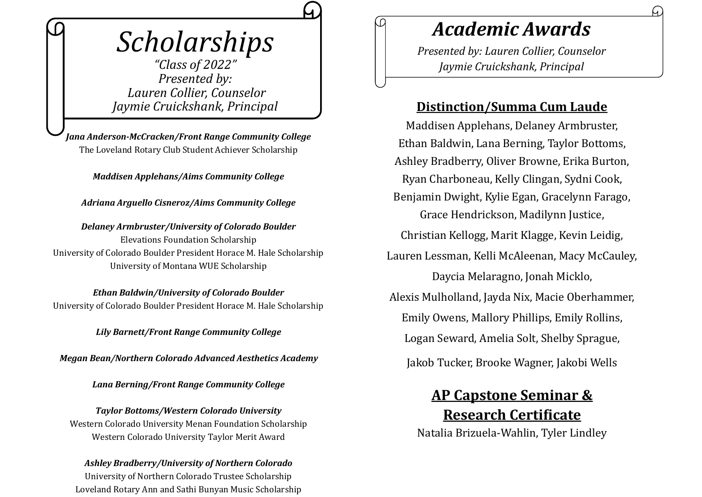# *Scholarships*

*"Class of 2022" Presented by: Lauren Collier, Counselor Jaymie Cruickshank, Principal*

*Jana Anderson-McCracken/Front Range Community College*  The Loveland Rotary Club Student Achiever Scholarship

*Maddisen Applehans/Aims Community College*

*Adriana Arguello Cisneroz/Aims Community College*

*Delaney Armbruster/University of Colorado Boulder* Elevations Foundation Scholarship University of Colorado Boulder President Horace M. Hale Scholarship University of Montana WUE Scholarship

*Ethan Baldwin/University of Colorado Boulder* University of Colorado Boulder President Horace M. Hale Scholarship

*Lily Barnett/Front Range Community College*

*Megan Bean/Northern Colorado Advanced Aesthetics Academy*

*Lana Berning/Front Range Community College*

*Taylor Bottoms/Western Colorado University* Western Colorado University Menan Foundation Scholarship Western Colorado University Taylor Merit Award

## *Ashley Bradberry/University of Northern Colorado*

University of Northern Colorado Trustee Scholarship Loveland Rotary Ann and Sathi Bunyan Music Scholarship

# *Academic Awards*

₽

*Presented by: Lauren Collier, Counselor Jaymie Cruickshank, Principal*

# **Distinction/Summa Cum Laude**

Maddisen Applehans, Delaney Armbruster, Ethan Baldwin, Lana Berning, Taylor Bottoms, Ashley Bradberry, Oliver Browne, Erika Burton, Ryan Charboneau, Kelly Clingan, Sydni Cook, Benjamin Dwight, Kylie Egan, Gracelynn Farago, Grace Hendrickson, Madilynn Justice, Christian Kellogg, Marit Klagge, Kevin Leidig, Lauren Lessman, Kelli McAleenan, Macy McCauley, Daycia Melaragno, Jonah Micklo, Alexis Mulholland, Jayda Nix, Macie Oberhammer, Emily Owens, Mallory Phillips, Emily Rollins, Logan Seward, Amelia Solt, Shelby Sprague,

Jakob Tucker, Brooke Wagner, Jakobi Wells

# **AP Capstone Seminar & Research Certificate**

Natalia Brizuela-Wahlin, Tyler Lindley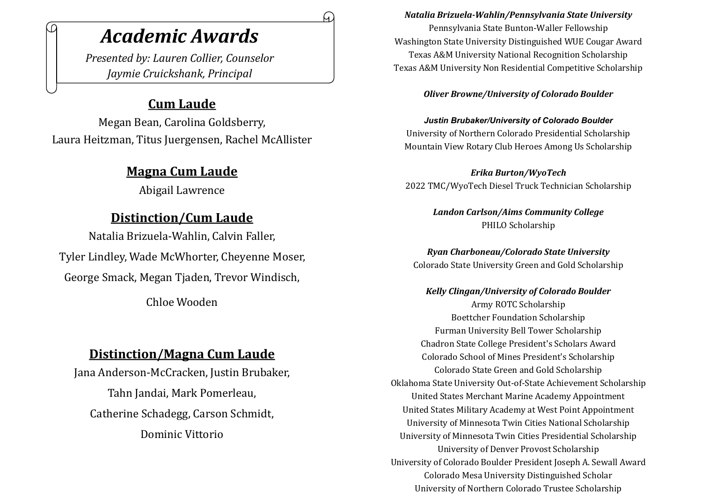# *Academic Awards*

*Presented by: Lauren Collier, Counselor Jaymie Cruickshank, Principal*

## **Cum Laude**

Megan Bean, Carolina Goldsberry, Laura Heitzman, Titus Juergensen, Rachel McAllister

# **Magna Cum Laude**

Abigail Lawrence

# **Distinction/Cum Laude**

Natalia Brizuela-Wahlin, Calvin Faller, Tyler Lindley, Wade McWhorter, Cheyenne Moser, George Smack, Megan Tjaden, Trevor Windisch,

Chloe Wooden

# **Distinction/Magna Cum Laude**

Jana Anderson-McCracken, Justin Brubaker, Tahn Jandai, Mark Pomerleau, Catherine Schadegg, Carson Schmidt, Dominic Vittorio

#### *Natalia Brizuela-Wahlin/Pennsylvania State University*

Pennsylvania State Bunton-Waller Fellowship Washington State University Distinguished WUE Cougar Award Texas A&M University National Recognition Scholarship Texas A&M University Non Residential Competitive Scholarship

#### *Oliver Browne/University of Colorado Boulder*

*Justin Brubaker/University of Colorado Boulder* University of Northern Colorado Presidential Scholarship Mountain View Rotary Club Heroes Among Us Scholarship

*Erika Burton/WyoTech* 2022 TMC/WyoTech Diesel Truck Technician Scholarship

> *Landon Carlson/Aims Community College* PHILO Scholarship

*Ryan Charboneau/Colorado State University* Colorado State University Green and Gold Scholarship

*Kelly Clingan/University of Colorado Boulder* Army ROTC Scholarship Boettcher Foundation Scholarship Furman University Bell Tower Scholarship Chadron State College President's Scholars Award Colorado School of Mines President's Scholarship Colorado State Green and Gold Scholarship Oklahoma State University Out-of-State Achievement Scholarship United States Merchant Marine Academy Appointment United States Military Academy at West Point Appointment University of Minnesota Twin Cities National Scholarship University of Minnesota Twin Cities Presidential Scholarship University of Denver Provost Scholarship University of Colorado Boulder President Joseph A. Sewall Award Colorado Mesa University Distinguished Scholar University of Northern Colorado Trustee Scholarship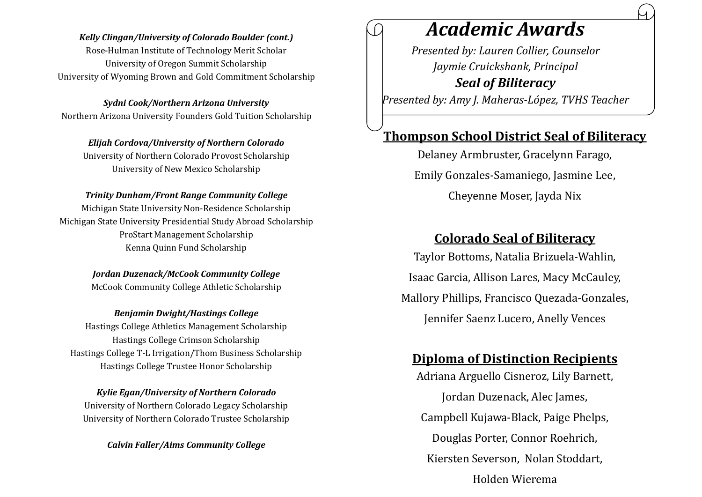#### *Kelly Clingan/University of Colorado Boulder (cont.)*

Rose-Hulman Institute of Technology Merit Scholar University of Oregon Summit Scholarship University of Wyoming Brown and Gold Commitment Scholarship

*Sydni Cook/Northern Arizona University* Northern Arizona University Founders Gold Tuition Scholarship

*Elijah Cordova/University of Northern Colorado* University of Northern Colorado Provost Scholarship University of New Mexico Scholarship

#### *Trinity Dunham/Front Range Community College*

Michigan State University Non-Residence Scholarship Michigan State University Presidential Study Abroad Scholarship ProStart Management Scholarship Kenna Quinn Fund Scholarship

*Jordan Duzenack/McCook Community College*

McCook Community College Athletic Scholarship

*Benjamin Dwight/Hastings College* Hastings College Athletics Management Scholarship

Hastings College Crimson Scholarship Hastings College T-L Irrigation/Thom Business Scholarship Hastings College Trustee Honor Scholarship

*Kylie Egan/University of Northern Colorado* University of Northern Colorado Legacy Scholarship University of Northern Colorado Trustee Scholarship

*Calvin Faller/Aims Community College*

# *Academic Awards*

*Presented by: Lauren Collier, Counselor Jaymie Cruickshank, Principal Seal of Biliteracy Presented by: Amy J. Maheras-López, TVHS Teacher* 

### **Thompson School District Seal of Biliteracy**

Delaney Armbruster, Gracelynn Farago, Emily Gonzales-Samaniego, Jasmine Lee, Cheyenne Moser, Jayda Nix

### **Colorado Seal of Biliteracy**

Taylor Bottoms, Natalia Brizuela-Wahlin, Isaac Garcia, Allison Lares, Macy McCauley, Mallory Phillips, Francisco Quezada-Gonzales, Jennifer Saenz Lucero, Anelly Vences

### **Diploma of Distinction Recipients**

Adriana Arguello Cisneroz, Lily Barnett, Jordan Duzenack, Alec James, Campbell Kujawa-Black, Paige Phelps, Douglas Porter, Connor Roehrich, Kiersten Severson, Nolan Stoddart, Holden Wierema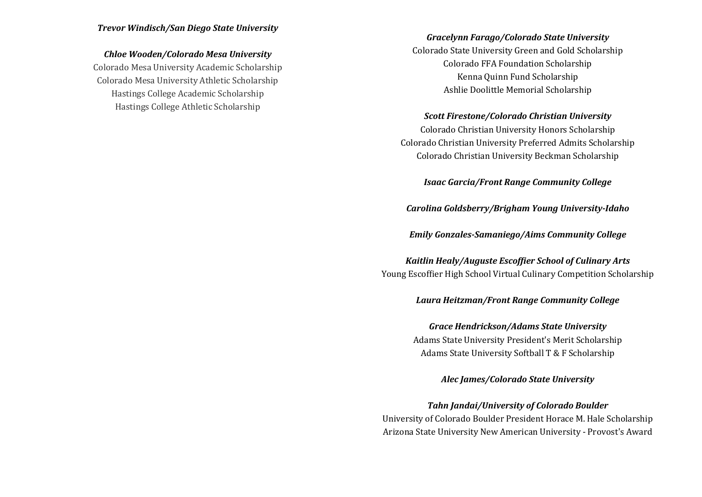#### *Trevor Windisch/San Diego State University*

#### *Chloe Wooden/Colorado Mesa University*

Colorado Mesa University Academic Scholarship Colorado Mesa University Athletic Scholarship Hastings College Academic Scholarship Hastings College Athletic Scholarship

#### *Gracelynn Farago/Colorado State University*

Colorado State University Green and Gold Scholarship Colorado FFA Foundation Scholarship Kenna Quinn Fund Scholarship Ashlie Doolittle Memorial Scholarship

#### *Scott Firestone/Colorado Christian University*

Colorado Christian University Honors Scholarship Colorado Christian University Preferred Admits Scholarship Colorado Christian University Beckman Scholarship

*Isaac Garcia/Front Range Community College*

*Carolina Goldsberry/Brigham Young University-Idaho*

*Emily Gonzales-Samaniego/Aims Community College*

#### *Kaitlin Healy/Auguste Escoffier School of Culinary Arts* Young Escoffier High School Virtual Culinary Competition Scholarship

#### *Laura Heitzman/Front Range Community College*

*Grace Hendrickson/Adams State University* Adams State University President's Merit Scholarship Adams State University Softball T & F Scholarship

*Alec James/Colorado State University*

#### *Tahn Jandai/University of Colorado Boulder*

University of Colorado Boulder President Horace M. Hale Scholarship Arizona State University New American University - Provost's Award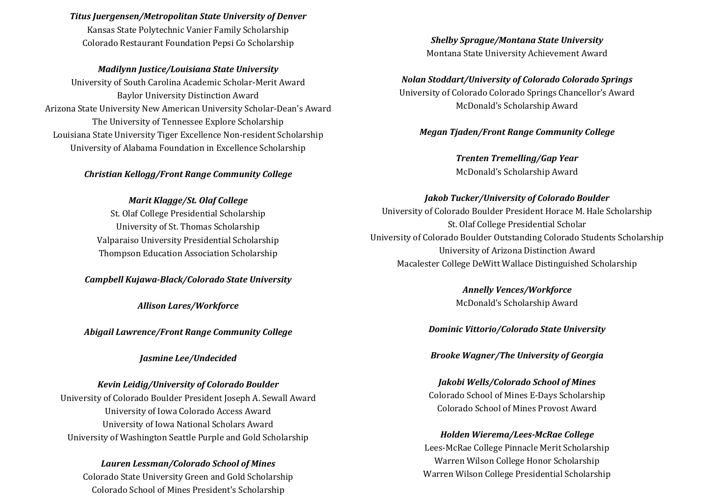#### *Titus Juergensen/Metropolitan State University of Denver*

Kansas State Polytechnic Vanier Family Scholarship Colorado Restaurant Foundation Pepsi Co Scholarship

#### *Madilynn Justice/Louisiana State University*

University of South Carolina Academic Scholar-Merit Award Baylor University Distinction Award Arizona State University New American University Scholar-Dean's Award The University of Tennessee Explore Scholarship Louisiana State University Tiger Excellence Non-resident Scholarship University of Alabama Foundation in Excellence Scholarship

#### *Christian Kellogg/Front Range Community College*

#### *Marit Klagge/St. Olaf College*

St. Olaf College Presidential Scholarship University of St. Thomas Scholarship Valparaiso University Presidential Scholarship Thompson Education Association Scholarship

#### *Campbell Kujawa-Black/Colorado State University*

*Allison Lares/Workforce*

*Abigail Lawrence/Front Range Community College*

#### *Jasmine Lee/Undecided*

#### *Kevin Leidig/University of Colorado Boulder*

University of Colorado Boulder President Joseph A. Sewall Award University of Iowa Colorado Access Award University of Iowa National Scholars Award University of Washington Seattle Purple and Gold Scholarship

#### *Lauren Lessman/Colorado School of Mines*

Colorado State University Green and Gold Scholarship Colorado School of Mines President's Scholarship

*Shelby Sprague/Montana State University*  Montana State University Achievement Award

# *Nolan Stoddart/University of Colorado Colorado Springs*

University of Colorado Colorado Springs Chancellor's Award McDonald's Scholarship Award

#### *Megan Tjaden/Front Range Community College*

*Trenten Tremelling/Gap Year* McDonald's Scholarship Award

#### *Jakob Tucker/University of Colorado Boulder*

University of Colorado Boulder President Horace M. Hale Scholarship St. Olaf College Presidential Scholar University of Colorado Boulder Outstanding Colorado Students Scholarship University of Arizona Distinction Award Macalester College DeWitt Wallace Distinguished Scholarship

> *Annelly Vences/Workforce* McDonald's Scholarship Award

#### *Dominic Vittorio/Colorado State University*

*Brooke Wagner/The University of Georgia*

#### *Jakobi Wells/Colorado School of Mines* Colorado School of Mines E-Days Scholarship Colorado School of Mines Provost Award

#### *Holden Wierema/Lees-McRae College* Lees-McRae College Pinnacle Merit Scholarship Warren Wilson College Honor Scholarship Warren Wilson College Presidential Scholarship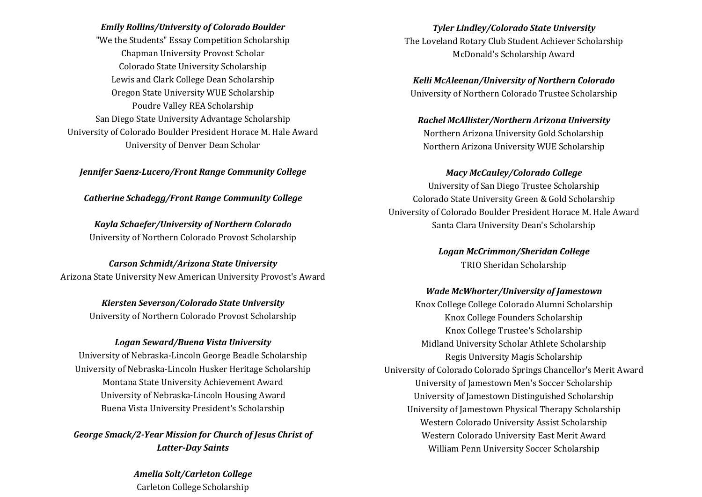*Emily Rollins/University of Colorado Boulder* "We the Students" Essay Competition Scholarship Chapman University Provost Scholar Colorado State University Scholarship Lewis and Clark College Dean Scholarship Oregon State University WUE Scholarship Poudre Valley REA Scholarship San Diego State University Advantage Scholarship University of Colorado Boulder President Horace M. Hale Award University of Denver Dean Scholar

*Jennifer Saenz-Lucero/Front Range Community College*

*Catherine Schadegg/Front Range Community College*

*Kayla Schaefer/University of Northern Colorado* University of Northern Colorado Provost Scholarship

*Carson Schmidt/Arizona State University* Arizona State University New American University Provost's Award

> *Kiersten Severson/Colorado State University* University of Northern Colorado Provost Scholarship

#### *Logan Seward/Buena Vista University*

University of Nebraska-Lincoln George Beadle Scholarship University of Nebraska-Lincoln Husker Heritage Scholarship Montana State University Achievement Award University of Nebraska-Lincoln Housing Award Buena Vista University President's Scholarship

*George Smack/2-Year Mission for Church of Jesus Christ of Latter-Day Saints*

> *Amelia Solt/Carleton College* Carleton College Scholarship

*Tyler Lindley/Colorado State University* The Loveland Rotary Club Student Achiever Scholarship McDonald's Scholarship Award

*Kelli McAleenan/University of Northern Colorado* University of Northern Colorado Trustee Scholarship

*Rachel McAllister/Northern Arizona University* Northern Arizona University Gold Scholarship Northern Arizona University WUE Scholarship

*Macy McCauley/Colorado College* University of San Diego Trustee Scholarship Colorado State University Green & Gold Scholarship University of Colorado Boulder President Horace M. Hale Award

Santa Clara University Dean's Scholarship

*Logan McCrimmon/Sheridan College* TRIO Sheridan Scholarship

#### *Wade McWhorter/University of Jamestown*

Knox College College Colorado Alumni Scholarship Knox College Founders Scholarship Knox College Trustee's Scholarship Midland University Scholar Athlete Scholarship Regis University Magis Scholarship University of Colorado Colorado Springs Chancellor's Merit Award University of Jamestown Men's Soccer Scholarship University of Jamestown Distinguished Scholarship University of Jamestown Physical Therapy Scholarship Western Colorado University Assist Scholarship Western Colorado University East Merit Award William Penn University Soccer Scholarship